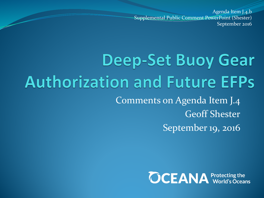Agenda Item J.4.b Supplemental Public Comment PowerPoint (Shester) September 2016

### **Deep-Set Buoy Gear Authorization and Future EFPs** Comments on Agenda Item J.4 Geoff Shester September 19, 2016

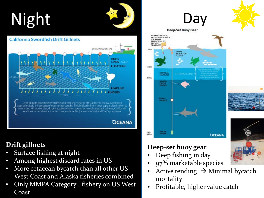# Night



#### **Drift gillnets**

- Surface fishing at night
- Among highest discard rates in US
- More cetacean bycatch than all other US West Coast and Alaska fisheries combined
- Only MMPA Category I fishery on US West Coast

### Da<sup>'</sup> **Deep-Set Buoy Gear**



HIGH FLYING FLAG

#### **Deep-set buoy gear**

- Deep fishing in day
- 97% marketable species
- Active tending  $\rightarrow$  Minimal bycatch mortality
- Profitable, higher value catch

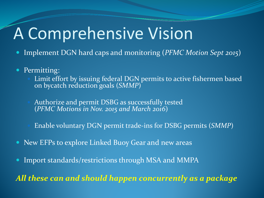## A Comprehensive Vision

- Implement DGN hard caps and monitoring (*PFMC Motion Sept 2015*)
- Permitting:
	- Limit effort by issuing federal DGN permits to active fishermen based on bycatch reduction goals (*SMMP*)
	- Authorize and permit DSBG as successfully tested (*PFMC Motions in Nov. 2015 and March 2016*)
	- Enable voluntary DGN permit trade-ins for DSBG permits (*SMMP*)
- New EFPs to explore Linked Buoy Gear and new areas
- Import standards/restrictions through MSA and MMPA

*All these can and should happen concurrently as a package*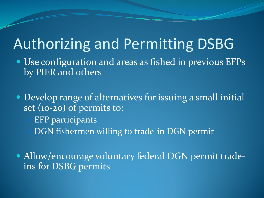### Authorizing and Permitting DSBG

- Use configuration and areas as fished in previous EFPs by PIER and others
- Develop range of alternatives for issuing a small initial set (10-20) of permits to:
	- EFP participants
	- DGN fishermen willing to trade-in DGN permit
- Allow/encourage voluntary federal DGN permit tradeins for DSBG permits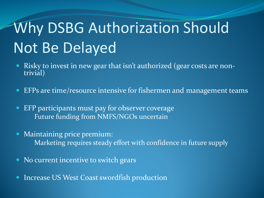## Why DSBG Authorization Should Not Be Delayed

- Risky to invest in new gear that isn't authorized (gear costs are non- trivial)
- EFPs are time/resource intensive for fishermen and management teams
- EFP participants must pay for observer coverage Future funding from NMFS/NGOs uncertain
- Maintaining price premium:
	- Marketing requires steady effort with confidence in future supply
- No current incentive to switch gears
- Increase US West Coast swordfish production